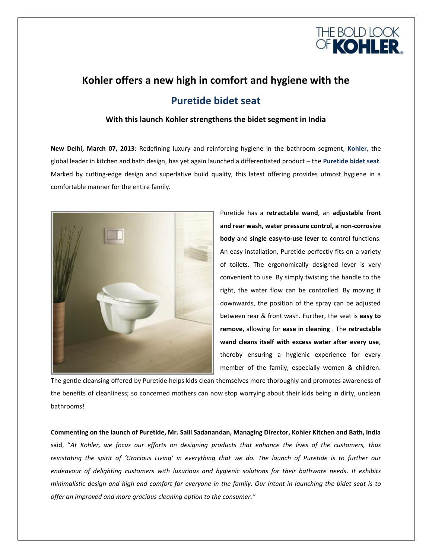

# **Kohler offers a new high in comfort and hygiene with the Puretide bidet seat**

# **With this launch Kohler strengthens the bidet segment in India**

**New Delhi, March 07, 2013**: Redefining luxury and reinforcing hygiene in the bathroom segment, **Kohler**, the global leader in kitchen and bath design, has yet again launched a differentiated product – the **Puretide bidet seat**. Marked by cutting-edge design and superlative build quality, this latest offering provides utmost hygiene in a comfortable manner for the entire family.



Puretide has a **retractable wand**, an **adjustable front and rear wash, water pressure control, a non-corrosive body** and **single easy-to-use lever** to control functions. An easy installation, Puretide perfectly fits on a variety of toilets. The ergonomically designed lever is very convenient to use. By simply twisting the handle to the right, the water flow can be controlled. By moving it downwards, the position of the spray can be adjusted between rear & front wash. Further, the seat is **easy to remove**, allowing for **ease in cleaning** . The **retractable wand cleans itself with excess water after every use**, thereby ensuring a hygienic experience for every member of the family, especially women & children.

The gentle cleansing offered by Puretide helps kids clean themselves more thoroughly and promotes awareness of the benefits of cleanliness; so concerned mothers can now stop worrying about their kids being in dirty, unclean bathrooms!

**Commenting on the launch of Puretide, Mr. Salil Sadanandan, Managing Director, Kohler Kitchen and Bath, India** said, "*At Kohler, we focus our efforts on designing products that enhance the lives of the customers, thus reinstating the spirit of 'Gracious Living' in everything that we do. The launch of Puretide is to further our endeavour of delighting customers with luxurious and hygienic solutions for their bathware needs. It exhibits minimalistic design and high end comfort for everyone in the family. Our intent in launching the bidet seat is to offer an improved and more gracious cleaning option to the consumer."*